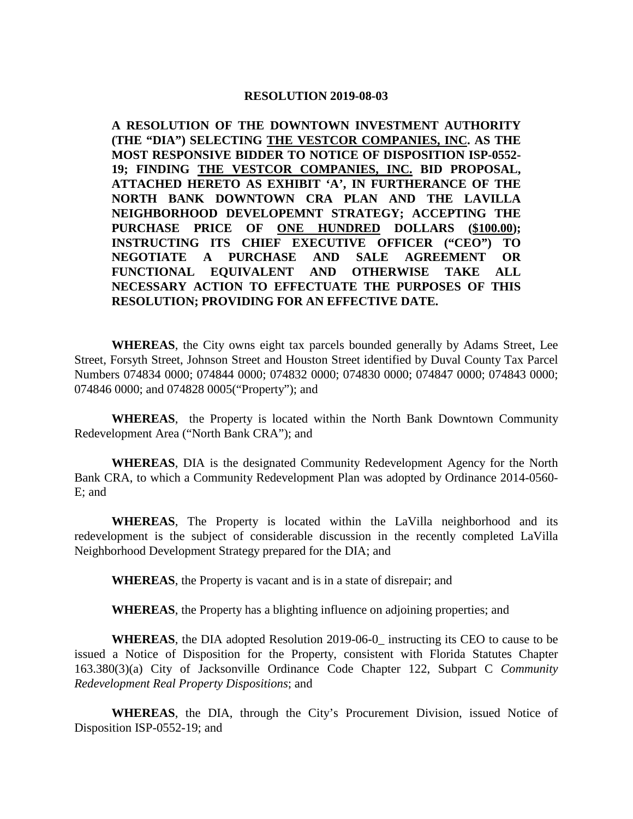#### **RESOLUTION 2019-08-03**

**A RESOLUTION OF THE DOWNTOWN INVESTMENT AUTHORITY (THE "DIA") SELECTING THE VESTCOR COMPANIES, INC. AS THE MOST RESPONSIVE BIDDER TO NOTICE OF DISPOSITION ISP-0552- 19; FINDING THE VESTCOR COMPANIES, INC. BID PROPOSAL, ATTACHED HERETO AS EXHIBIT 'A', IN FURTHERANCE OF THE NORTH BANK DOWNTOWN CRA PLAN AND THE LAVILLA NEIGHBORHOOD DEVELOPEMNT STRATEGY; ACCEPTING THE PURCHASE PRICE OF ONE HUNDRED DOLLARS (\$100.00); INSTRUCTING ITS CHIEF EXECUTIVE OFFICER ("CEO") TO NEGOTIATE A PURCHASE AND SALE AGREEMENT OR FUNCTIONAL EQUIVALENT AND OTHERWISE TAKE ALL NECESSARY ACTION TO EFFECTUATE THE PURPOSES OF THIS RESOLUTION; PROVIDING FOR AN EFFECTIVE DATE.**

**WHEREAS**, the City owns eight tax parcels bounded generally by Adams Street, Lee Street, Forsyth Street, Johnson Street and Houston Street identified by Duval County Tax Parcel Numbers 074834 0000; 074844 0000; 074832 0000; 074830 0000; 074847 0000; 074843 0000; 074846 0000; and 074828 0005("Property"); and

**WHEREAS**, the Property is located within the North Bank Downtown Community Redevelopment Area ("North Bank CRA"); and

**WHEREAS**, DIA is the designated Community Redevelopment Agency for the North Bank CRA, to which a Community Redevelopment Plan was adopted by Ordinance 2014-0560- E; and

**WHEREAS**, The Property is located within the LaVilla neighborhood and its redevelopment is the subject of considerable discussion in the recently completed LaVilla Neighborhood Development Strategy prepared for the DIA; and

**WHEREAS**, the Property is vacant and is in a state of disrepair; and

**WHEREAS**, the Property has a blighting influence on adjoining properties; and

**WHEREAS**, the DIA adopted Resolution 2019-06-0\_ instructing its CEO to cause to be issued a Notice of Disposition for the Property, consistent with Florida Statutes Chapter 163.380(3)(a) City of Jacksonville Ordinance Code Chapter 122, Subpart C *Community Redevelopment Real Property Dispositions*; and

**WHEREAS**, the DIA, through the City's Procurement Division, issued Notice of Disposition ISP-0552-19; and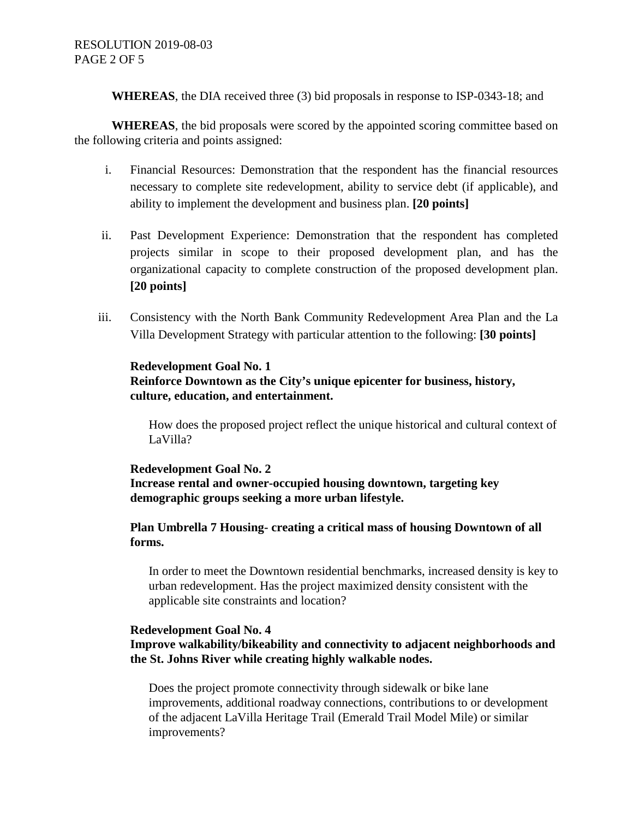**WHEREAS**, the DIA received three (3) bid proposals in response to ISP-0343-18; and

**WHEREAS**, the bid proposals were scored by the appointed scoring committee based on the following criteria and points assigned:

- i. Financial Resources: Demonstration that the respondent has the financial resources necessary to complete site redevelopment, ability to service debt (if applicable), and ability to implement the development and business plan. **[20 points]**
- ii. Past Development Experience: Demonstration that the respondent has completed projects similar in scope to their proposed development plan, and has the organizational capacity to complete construction of the proposed development plan. **[20 points]**
- iii. Consistency with the North Bank Community Redevelopment Area Plan and the La Villa Development Strategy with particular attention to the following: **[30 points]**

# **Redevelopment Goal No. 1 Reinforce Downtown as the City's unique epicenter for business, history, culture, education, and entertainment.**

How does the proposed project reflect the unique historical and cultural context of LaVilla?

## **Redevelopment Goal No. 2**

**Increase rental and owner-occupied housing downtown, targeting key demographic groups seeking a more urban lifestyle.**

## **Plan Umbrella 7 Housing- creating a critical mass of housing Downtown of all forms.**

In order to meet the Downtown residential benchmarks, increased density is key to urban redevelopment. Has the project maximized density consistent with the applicable site constraints and location?

### **Redevelopment Goal No. 4**

# **Improve walkability/bikeability and connectivity to adjacent neighborhoods and the St. Johns River while creating highly walkable nodes.**

Does the project promote connectivity through sidewalk or bike lane improvements, additional roadway connections, contributions to or development of the adjacent LaVilla Heritage Trail (Emerald Trail Model Mile) or similar improvements?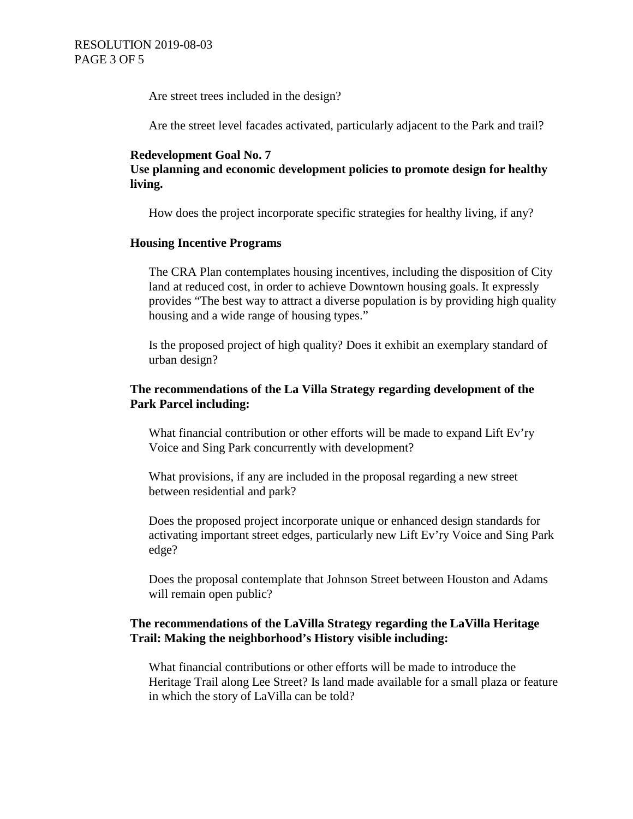Are street trees included in the design?

Are the street level facades activated, particularly adjacent to the Park and trail?

### **Redevelopment Goal No. 7**

**Use planning and economic development policies to promote design for healthy living.**

How does the project incorporate specific strategies for healthy living, if any?

## **Housing Incentive Programs**

The CRA Plan contemplates housing incentives, including the disposition of City land at reduced cost, in order to achieve Downtown housing goals. It expressly provides "The best way to attract a diverse population is by providing high quality housing and a wide range of housing types."

Is the proposed project of high quality? Does it exhibit an exemplary standard of urban design?

## **The recommendations of the La Villa Strategy regarding development of the Park Parcel including:**

What financial contribution or other efforts will be made to expand Lift Ev'ry Voice and Sing Park concurrently with development?

What provisions, if any are included in the proposal regarding a new street between residential and park?

Does the proposed project incorporate unique or enhanced design standards for activating important street edges, particularly new Lift Ev'ry Voice and Sing Park edge?

Does the proposal contemplate that Johnson Street between Houston and Adams will remain open public?

## **The recommendations of the LaVilla Strategy regarding the LaVilla Heritage Trail: Making the neighborhood's History visible including:**

What financial contributions or other efforts will be made to introduce the Heritage Trail along Lee Street? Is land made available for a small plaza or feature in which the story of LaVilla can be told?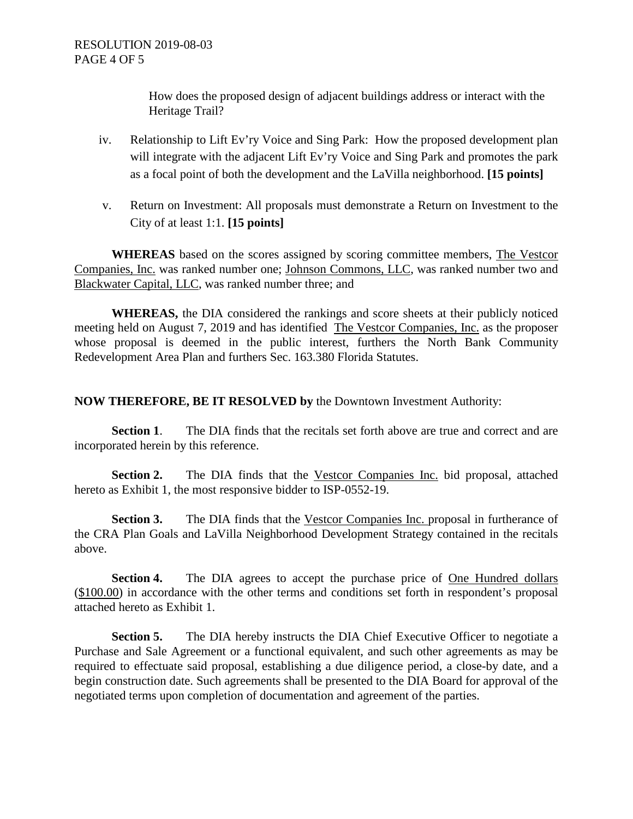How does the proposed design of adjacent buildings address or interact with the Heritage Trail?

- iv. Relationship to Lift Ev'ry Voice and Sing Park: How the proposed development plan will integrate with the adjacent Lift Ev'ry Voice and Sing Park and promotes the park as a focal point of both the development and the LaVilla neighborhood. **[15 points]**
- v. Return on Investment: All proposals must demonstrate a Return on Investment to the City of at least 1:1. **[15 points]**

**WHEREAS** based on the scores assigned by scoring committee members, The Vestcor Companies, Inc. was ranked number one; Johnson Commons, LLC, was ranked number two and Blackwater Capital, LLC, was ranked number three; and

**WHEREAS,** the DIA considered the rankings and score sheets at their publicly noticed meeting held on August 7, 2019 and has identified The Vestcor Companies, Inc. as the proposer whose proposal is deemed in the public interest, furthers the North Bank Community Redevelopment Area Plan and furthers Sec. 163.380 Florida Statutes.

## **NOW THEREFORE, BE IT RESOLVED by** the Downtown Investment Authority:

**Section 1.** The DIA finds that the recitals set forth above are true and correct and are incorporated herein by this reference.

**Section 2.** The DIA finds that the Vestcor Companies Inc. bid proposal, attached hereto as Exhibit 1, the most responsive bidder to ISP-0552-19.

**Section 3.** The DIA finds that the Vestcor Companies Inc. proposal in furtherance of the CRA Plan Goals and LaVilla Neighborhood Development Strategy contained in the recitals above.

**Section 4.** The DIA agrees to accept the purchase price of One Hundred dollars (\$100.00) in accordance with the other terms and conditions set forth in respondent's proposal attached hereto as Exhibit 1.

**Section 5.** The DIA hereby instructs the DIA Chief Executive Officer to negotiate a Purchase and Sale Agreement or a functional equivalent, and such other agreements as may be required to effectuate said proposal, establishing a due diligence period, a close-by date, and a begin construction date. Such agreements shall be presented to the DIA Board for approval of the negotiated terms upon completion of documentation and agreement of the parties.